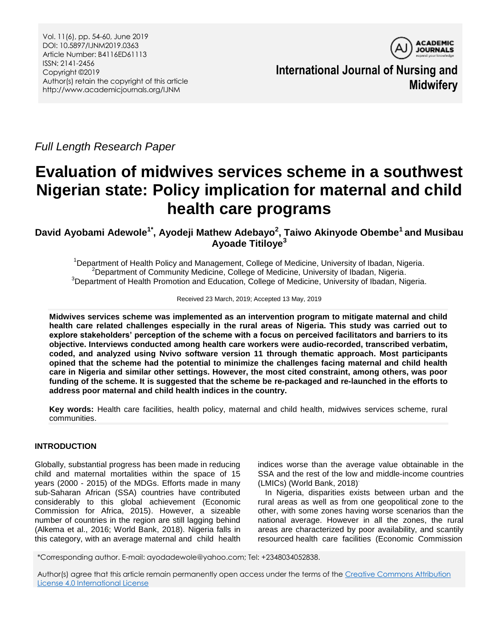

**International Journal of Nursing and Midwifery**

*Full Length Research Paper*

# **Evaluation of midwives services scheme in a southwest Nigerian state: Policy implication for maternal and child health care programs**

## **David Ayobami Adewole1\* , Ayodeji Mathew Adebayo<sup>2</sup> , Taiwo Akinyode Obembe<sup>1</sup> and Musibau Ayoade Titiloye<sup>3</sup>**

<sup>1</sup>Department of Health Policy and Management, College of Medicine, University of Ibadan, Nigeria. <sup>2</sup>Department of Community Medicine, College of Medicine, University of Ibadan, Nigeria.  $3$ Department of Health Promotion and Education, College of Medicine, University of Ibadan, Nigeria.

#### Received 23 March, 2019; Accepted 13 May, 2019

**Midwives services scheme was implemented as an intervention program to mitigate maternal and child health care related challenges especially in the rural areas of Nigeria. This study was carried out to explore stakeholders' perception of the scheme with a focus on perceived facilitators and barriers to its objective. Interviews conducted among health care workers were audio-recorded, transcribed verbatim, coded, and analyzed using Nvivo software version 11 through thematic approach. Most participants opined that the scheme had the potential to minimize the challenges facing maternal and child health care in Nigeria and similar other settings. However, the most cited constraint, among others, was poor funding of the scheme. It is suggested that the scheme be re-packaged and re-launched in the efforts to address poor maternal and child health indices in the country.** 

**Key words:** Health care facilities, health policy, maternal and child health, midwives services scheme, rural communities.

## **INTRODUCTION**

Globally, substantial progress has been made in reducing child and maternal mortalities within the space of 15 years (2000 - 2015) of the MDGs. Efforts made in many sub-Saharan African (SSA) countries have contributed considerably to this global achievement (Economic Commission for Africa, 2015). However, a sizeable number of countries in the region are still lagging behind (Alkema et al., 2016; World Bank, 2018). Nigeria falls in this category, with an average maternal and child health

indices worse than the average value obtainable in the SSA and the rest of the low and middle-income countries (LMICs) (World Bank, 2018).

In Nigeria, disparities exists between urban and the rural areas as well as from one geopolitical zone to the other, with some zones having worse scenarios than the national average. However in all the zones, the rural areas are characterized by poor availability, and scantily resourced health care facilities (Economic Commission

\*Corresponding author. E-mail: ayodadewole@yahoo.com; Tel: +2348034052838.

Author(s) agree that this article remain permanently open access under the terms of the Creative Commons Attribution [License 4.0 International License](http://creativecommons.org/licenses/by/4.0/deed.en_US)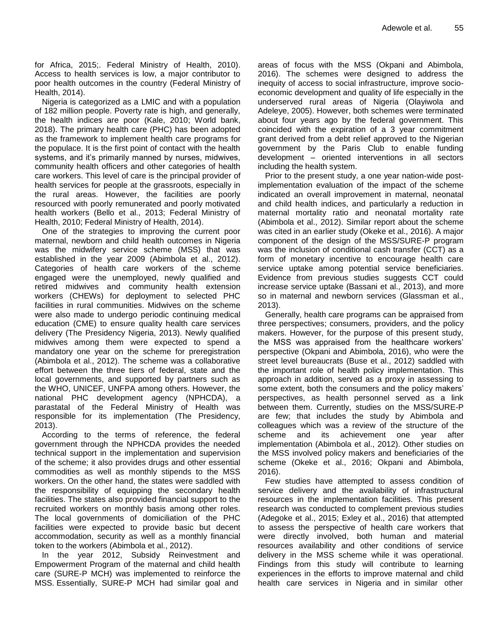for Africa, 2015;. Federal Ministry of Health, 2010). Access to health services is low, a major contributor to poor health outcomes in the country (Federal Ministry of Health, 2014).

Nigeria is categorized as a LMIC and with a population of 182 million people. Poverty rate is high, and generally, the health indices are poor (Kale, 2010; World bank, 2018). The primary health care (PHC) has been adopted as the framework to implement health care programs for the populace. It is the first point of contact with the health systems, and it's primarily manned by nurses, midwives, community health officers and other categories of health care workers. This level of care is the principal provider of health services for people at the grassroots, especially in the rural areas. However, the facilities are poorly resourced with poorly remunerated and poorly motivated health workers (Bello et al., 2013; Federal Ministry of Health, 2010; Federal Ministry of Health, 2014).

One of the strategies to improving the current poor maternal, newborn and child health outcomes in Nigeria was the midwifery service scheme (MSS) that was established in the year 2009 (Abimbola et al., 2012). Categories of health care workers of the scheme engaged were the unemployed, newly qualified and retired midwives and community health extension workers (CHEWs) for deployment to selected PHC facilities in rural communities. Midwives on the scheme were also made to undergo periodic continuing medical education (CME) to ensure quality health care services delivery (The Presidency Nigeria, 2013). Newly qualified midwives among them were expected to spend a mandatory one year on the scheme for preregistration (Abimbola et al., 2012). The scheme was a collaborative effort between the three tiers of federal, state and the local governments, and supported by partners such as the WHO, UNICEF, UNFPA among others. However, the national PHC development agency (NPHCDA), a parastatal of the Federal Ministry of Health was responsible for its implementation (The Presidency, 2013).

According to the terms of reference, the federal government through the NPHCDA provides the needed technical support in the implementation and supervision of the scheme; it also provides drugs and other essential commodities as well as monthly stipends to the MSS workers. On the other hand, the states were saddled with the responsibility of equipping the secondary health facilities. The states also provided financial support to the recruited workers on monthly basis among other roles. The local governments of domiciliation of the PHC facilities were expected to provide basic but decent accommodation, security as well as a monthly financial token to the workers (Abimbola et al., 2012).

In the year 2012, Subsidy Reinvestment and Empowerment Program of the maternal and child health care (SURE-P MCH) was implemented to reinforce the MSS. Essentially, SURE-P MCH had similar goal and

areas of focus with the MSS (Okpani and Abimbola, 2016). The schemes were designed to address the inequity of access to social infrastructure, improve socioeconomic development and quality of life especially in the underserved rural areas of Nigeria (Olayiwola and Adeleye, 2005). However, both schemes were terminated about four years ago by the federal government. This coincided with the expiration of a 3 year commitment grant derived from a debt relief approved to the Nigerian government by the Paris Club to enable funding development – oriented interventions in all sectors including the health system.

Prior to the present study, a one year nation-wide postimplementation evaluation of the impact of the scheme indicated an overall improvement in maternal, neonatal and child health indices, and particularly a reduction in maternal mortality ratio and neonatal mortality rate (Abimbola et al., 2012). Similar report about the scheme was cited in an earlier study (Okeke et al., 2016). A major component of the design of the MSS/SURE-P program was the inclusion of conditional cash transfer (CCT) as a form of monetary incentive to encourage health care service uptake among potential service beneficiaries. Evidence from previous studies suggests CCT could increase service uptake (Bassani et al., 2013), and more so in maternal and newborn services (Glassman et al., 2013).

Generally, health care programs can be appraised from three perspectives; consumers, providers, and the policy makers. However, for the purpose of this present study, the MSS was appraised from the healthcare workers' perspective (Okpani and Abimbola, 2016), who were the street level bureaucrats (Buse et al., 2012) saddled with the important role of health policy implementation. This approach in addition, served as a proxy in assessing to some extent, both the consumers and the policy makers' perspectives, as health personnel served as a link between them. Currently, studies on the MSS/SURE-P are few; that includes the study by Abimbola and colleagues which was a review of the structure of the scheme and its achievement one year after implementation (Abimbola et al., 2012). Other studies on the MSS involved policy makers and beneficiaries of the scheme (Okeke et al., 2016; Okpani and Abimbola, 2016).

Few studies have attempted to assess condition of service delivery and the availability of infrastructural resources in the implementation facilities. This present research was conducted to complement previous studies (Adegoke et al., 2015; Exley et al., 2016) that attempted to assess the perspective of health care workers that were directly involved, both human and material resources availability and other conditions of service delivery in the MSS scheme while it was operational. Findings from this study will contribute to learning experiences in the efforts to improve maternal and child health care services in Nigeria and in similar other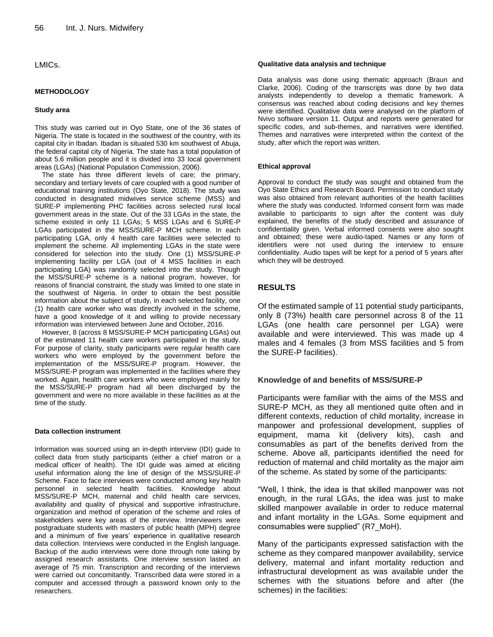LMICs.

#### **METHODOLOGY**

#### **Study area**

This study was carried out in Oyo State, one of the 36 states of Nigeria. The state is located in the southwest of the country, with its capital city in Ibadan. Ibadan is situated 530 km southwest o[f Abuja,](http://en.wikipedia.org/wiki/Abuja)  the federal capital city of Nigeria. The state has a total population of about 5.6 million people and it is divided into 33 local government areas (LGAs) (National Population Commission, 2006).

The state has three different levels of care; the primary, secondary and tertiary levels of care coupled with a good number of educational training institutions (Oyo State, 2018). The study was conducted in designated midwives service scheme (MSS) and SURE-P implementing PHC facilities across selected rural local government areas in the state. Out of the 33 LGAs in the state, the scheme existed in only 11 LGAs; 5 MSS LGAs and 6 SURE-P LGAs participated in the MSS/SURE-P MCH scheme. In each participating LGA, only 4 health care facilities were selected to implement the scheme. All implementing LGAs in the state were considered for selection into the study. One (1) MSS/SURE-P implementing facility per LGA (out of 4 MSS facilities in each participating LGA) was randomly selected into the study. Though the MSS/SURE-P scheme is a national program, however, for reasons of financial constraint, the study was limited to one state in the southwest of Nigeria. In order to obtain the best possible information about the subject of study, in each selected facility, one (1) health care worker who was directly involved in the scheme, have a good knowledge of it and willing to provide necessary information was interviewed between June and October, 2016.

However, 8 (across 8 MSS/SURE-P MCH participating LGAs) out of the estimated 11 health care workers participated in the study. For purpose of clarity, study participants were regular health care workers who were employed by the government before the implementation of the MSS/SURE-P program. However, the MSS/SURE-P program was implemented in the facilities where they worked. Again, health care workers who were employed mainly for the MSS/SURE-P program had all been discharged by the government and were no more available in these facilities as at the time of the study.

#### **Data collection instrument**

Information was sourced using an in-depth interview (IDI) guide to collect data from study participants (either a chief matron or a medical officer of health). The IDI guide was aimed at eliciting useful information along the line of design of the MSS/SURE-P Scheme. Face to face interviews were conducted among key health personnel in selected health facilities. Knowledge about MSS/SURE-P MCH, maternal and child health care services, availability and quality of physical and supportive infrastructure, organization and method of operation of the scheme and roles of stakeholders were key areas of the interview. Interviewers were postgraduate students with masters of public health (MPH) degree and a minimum of five years' experience in qualitative research data collection. Interviews were conducted in the English language. Backup of the audio interviews were done through note taking by assigned research assistants. One interview session lasted an average of 75 min. Transcription and recording of the interviews were carried out concomitantly. Transcribed data were stored in a computer and accessed through a password known only to the researchers.

#### **Qualitative data analysis and technique**

Data analysis was done using thematic approach (Braun and Clarke, 2006). Coding of the transcripts was done by two data analysts independently to develop a thematic framework. A consensus was reached about coding decisions and key themes were identified. Qualitative data were analysed on the platform of Nvivo software version 11. Output and reports were generated for specific codes, and sub-themes, and narratives were identified. Themes and narratives were interpreted within the context of the study, after which the report was written.

#### **Ethical approval**

Approval to conduct the study was sought and obtained from the Oyo State Ethics and Research Board. Permission to conduct study was also obtained from relevant authorities of the health facilities where the study was conducted. Informed consent form was made available to participants to sign after the content was duly explained, the benefits of the study described and assurance of confidentiality given. Verbal informed consents were also sought and obtained; these were audio-taped. Names or any form of identifiers were not used during the interview to ensure confidentiality. Audio tapes will be kept for a period of 5 years after which they will be destroyed.

#### **RESULTS**

Of the estimated sample of 11 potential study participants, only 8 (73%) health care personnel across 8 of the 11 LGAs (one health care personnel per LGA) were available and were interviewed. This was made up 4 males and 4 females (3 from MSS facilities and 5 from the SURE-P facilities).

#### **Knowledge of and benefits of MSS/SURE-P**

Participants were familiar with the aims of the MSS and SURE-P MCH, as they all mentioned quite often and in different contexts, reduction of child mortality, increase in manpower and professional development, supplies of equipment, mama kit (delivery kits), cash and consumables as part of the benefits derived from the scheme. Above all, participants identified the need for reduction of maternal and child mortality as the major aim of the scheme. As stated by some of the participants:

"Well, I think, the idea is that skilled manpower was not enough, in the rural LGAs, the idea was just to make skilled manpower available in order to reduce maternal and infant mortality in the LGAs. Some equipment and consumables were supplied" (R7\_MoH).

Many of the participants expressed satisfaction with the scheme as they compared manpower availability, service delivery, maternal and infant mortality reduction and infrastructural development as was available under the schemes with the situations before and after (the schemes) in the facilities: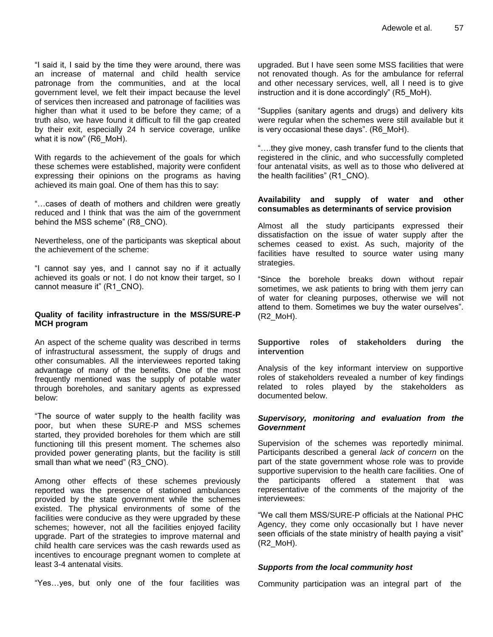"I said it, I said by the time they were around, there was an increase of maternal and child health service patronage from the communities, and at the local government level, we felt their impact because the level of services then increased and patronage of facilities was higher than what it used to be before they came; of a truth also, we have found it difficult to fill the gap created by their exit, especially 24 h service coverage, unlike what it is now" (R6\_MoH).

With regards to the achievement of the goals for which these schemes were established, majority were confident expressing their opinions on the programs as having achieved its main goal. One of them has this to say:

―…cases of death of mothers and children were greatly reduced and I think that was the aim of the government behind the MSS scheme" (R8\_CNO).

Nevertheless, one of the participants was skeptical about the achievement of the scheme:

"I cannot say yes, and I cannot say no if it actually achieved its goals or not. I do not know their target, so I cannot measure it" (R1\_CNO).

## **Quality of facility infrastructure in the MSS/SURE-P MCH program**

An aspect of the scheme quality was described in terms of infrastructural assessment, the supply of drugs and other consumables. All the interviewees reported taking advantage of many of the benefits. One of the most frequently mentioned was the supply of potable water through boreholes, and sanitary agents as expressed below:

―The source of water supply to the health facility was poor, but when these SURE-P and MSS schemes started, they provided boreholes for them which are still functioning till this present moment. The schemes also provided power generating plants, but the facility is still small than what we need" (R3 CNO).

Among other effects of these schemes previously reported was the presence of stationed ambulances provided by the state government while the schemes existed. The physical environments of some of the facilities were conducive as they were upgraded by these schemes; however, not all the facilities enjoyed facility upgrade. Part of the strategies to improve maternal and child health care services was the cash rewards used as incentives to encourage pregnant women to complete at least 3-4 antenatal visits.

"Yes...yes, but only one of the four facilities was

upgraded. But I have seen some MSS facilities that were not renovated though. As for the ambulance for referral and other necessary services, well, all I need is to give instruction and it is done accordingly" (R5\_MoH).

―Supplies (sanitary agents and drugs) and delivery kits were regular when the schemes were still available but it is very occasional these days". (R6 MoH).

"....they give money, cash transfer fund to the clients that registered in the clinic, and who successfully completed four antenatal visits, as well as to those who delivered at the health facilities"  $(R1$  CNO).

#### **Availability and supply of water and other consumables as determinants of service provision**

Almost all the study participants expressed their dissatisfaction on the issue of water supply after the schemes ceased to exist. As such, majority of the facilities have resulted to source water using many strategies.

―Since the borehole breaks down without repair sometimes, we ask patients to bring with them jerry can of water for cleaning purposes, otherwise we will not attend to them. Sometimes we buy the water ourselves". (R2\_MoH).

#### **Supportive roles of stakeholders during the intervention**

Analysis of the key informant interview on supportive roles of stakeholders revealed a number of key findings related to roles played by the stakeholders as documented below.

#### *Supervisory, monitoring and evaluation from the Government*

Supervision of the schemes was reportedly minimal. Participants described a general *lack of concern* on the part of the state government whose role was to provide supportive supervision to the health care facilities. One of the participants offered a statement that was representative of the comments of the majority of the interviewees:

"We call them MSS/SURE-P officials at the National PHC Agency, they come only occasionally but I have never seen officials of the state ministry of health paying a visit" (R2\_MoH).

## *Supports from the local community host*

Community participation was an integral part of the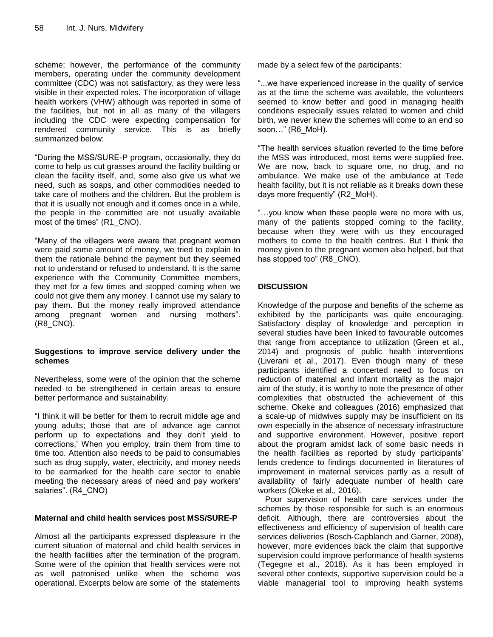scheme; however, the performance of the community members, operating under the community development committee (CDC) was not satisfactory, as they were less visible in their expected roles. The incorporation of village health workers (VHW) although was reported in some of the facilities, but not in all as many of the villagers including the CDC were expecting compensation for rendered community service. This is as briefly summarized below:

―During the MSS/SURE-P program, occasionally, they do come to help us cut grasses around the facility building or clean the facility itself, and, some also give us what we need, such as soaps, and other commodities needed to take care of mothers and the children. But the problem is that it is usually not enough and it comes once in a while, the people in the committee are not usually available most of the times" (R1\_CNO).

"Many of the villagers were aware that pregnant women were paid some amount of money, we tried to explain to them the rationale behind the payment but they seemed not to understand or refused to understand. It is the same experience with the Community Committee members, they met for a few times and stopped coming when we could not give them any money. I cannot use my salary to pay them. But the money really improved attendance among pregnant women and nursing mothers". (R8\_CNO).

## **Suggestions to improve service delivery under the schemes**

Nevertheless, some were of the opinion that the scheme needed to be strengthened in certain areas to ensure better performance and sustainability.

"I think it will be better for them to recruit middle age and young adults; those that are of advance age cannot perform up to expectations and they don't yield to corrections,' When you employ, train them from time to time too. Attention also needs to be paid to consumables such as drug supply, water, electricity, and money needs to be earmarked for the health care sector to enable meeting the necessary areas of need and pay workers' salaries". (R4\_CNO)

## **Maternal and child health services post MSS/SURE-P**

Almost all the participants expressed displeasure in the current situation of maternal and child health services in the health facilities after the termination of the program. Some were of the opinion that health services were not as well patronised unlike when the scheme was operational. Excerpts below are some of the statements

made by a select few of the participants:

"...we have experienced increase in the quality of service as at the time the scheme was available, the volunteers seemed to know better and good in managing health conditions especially issues related to women and child birth, we never knew the schemes will come to an end so soon..." (R6\_MoH).

―The health services situation reverted to the time before the MSS was introduced, most items were supplied free. We are now, back to square one, no drug, and no ambulance. We make use of the ambulance at Tede health facility, but it is not reliable as it breaks down these days more frequently" (R2 MoH).

"...you know when these people were no more with us, many of the patients stopped coming to the facility, because when they were with us they encouraged mothers to come to the health centres. But I think the money given to the pregnant women also helped, but that has stopped too" (R8 CNO).

## **DISCUSSION**

Knowledge of the purpose and benefits of the scheme as exhibited by the participants was quite encouraging. Satisfactory display of knowledge and perception in several studies have been linked to favourable outcomes that range from acceptance to utilization (Green et al., 2014) and prognosis of public health interventions (Liverani et al., 2017). Even though many of these participants identified a concerted need to focus on reduction of maternal and infant mortality as the major aim of the study, it is worthy to note the presence of other complexities that obstructed the achievement of this scheme. Okeke and colleagues (2016) emphasized that a scale-up of midwives supply may be insufficient on its own especially in the absence of necessary infrastructure and supportive environment. However, positive report about the program amidst lack of some basic needs in the health facilities as reported by study participants' lends credence to findings documented in literatures of improvement in maternal services partly as a result of availability of fairly adequate number of health care workers (Okeke et al., 2016).

Poor supervision of health care services under the schemes by those responsible for such is an enormous deficit. Although, there are controversies about the effectiveness and efficiency of supervision of health care services deliveries (Bosch-Capblanch and Garner, 2008), however, more evidences back the claim that supportive supervision could improve performance of health systems [\(Tegegne](https://www.ncbi.nlm.nih.gov/pubmed/?term=Tegegne%20SG%5BAuthor%5D&cauthor=true&cauthor_uid=30541512) et al., 2018). As it has been employed in several other contexts, supportive supervision could be a viable managerial tool to improving health systems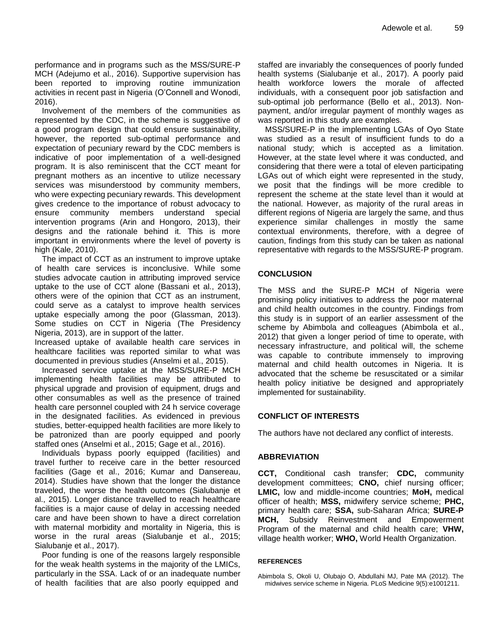performance and in programs such as the MSS/SURE-P MCH (Adejumo et al., 2016). Supportive supervision has been reported to improving routine immunization activities in recent past in Nigeria (O'Connell and Wonodi, 2016).

Involvement of the members of the communities as represented by the CDC, in the scheme is suggestive of a good program design that could ensure sustainability, however, the reported sub-optimal performance and expectation of pecuniary reward by the CDC members is indicative of poor implementation of a well-designed program. It is also reminiscent that the CCT meant for pregnant mothers as an incentive to utilize necessary services was misunderstood by community members, who were expecting pecuniary rewards. This development gives credence to the importance of robust advocacy to ensure community members understand special intervention programs (Arin and Hongoro, 2013), their designs and the rationale behind it. This is more important in environments where the level of poverty is high (Kale, 2010).

The impact of CCT as an instrument to improve uptake of health care services is inconclusive. While some studies advocate caution in attributing improved service uptake to the use of CCT alone (Bassani et al., 2013), others were of the opinion that CCT as an instrument, could serve as a catalyst to improve health services uptake especially among the poor (Glassman, 2013). Some studies on CCT in Nigeria (The Presidency Nigeria, 2013), are in support of the latter.

Increased uptake of available health care services in healthcare facilities was reported similar to what was documented in previous studies (Anselmi et al., 2015).

Increased service uptake at the MSS/SURE-P MCH implementing health facilities may be attributed to physical upgrade and provision of equipment, drugs and other consumables as well as the presence of trained health care personnel coupled with 24 h service coverage in the designated facilities. As evidenced in previous studies, better-equipped health facilities are more likely to be patronized than are poorly equipped and poorly staffed ones (Anselmi et al., 2015; Gage et al., 2016).

Individuals bypass poorly equipped (facilities) and travel further to receive care in the better resourced facilities (Gage et al., 2016; Kumar and Dansereau, 2014). Studies have shown that the longer the distance traveled, the worse the health outcomes (Sialubanje et al., 2015). Longer distance travelled to reach healthcare facilities is a major cause of delay in accessing needed care and have been shown to have a direct correlation with maternal morbidity and mortality in Nigeria, this is worse in the rural areas (Sialubanje et al., 2015; Sialubanje et al., 2017).

Poor funding is one of the reasons largely responsible for the weak health systems in the majority of the LMICs, particularly in the SSA. Lack of or an inadequate number of health facilities that are also poorly equipped and

staffed are invariably the consequences of poorly funded health systems (Sialubanje et al., 2017). A poorly paid health workforce lowers the morale of affected individuals, with a consequent poor job satisfaction and sub-optimal job performance (Bello et al., 2013). Nonpayment, and/or irregular payment of monthly wages as was reported in this study are examples.

MSS/SURE-P in the implementing LGAs of Oyo State was studied as a result of insufficient funds to do a national study; which is accepted as a limitation. However, at the state level where it was conducted, and considering that there were a total of eleven participating LGAs out of which eight were represented in the study, we posit that the findings will be more credible to represent the scheme at the state level than it would at the national. However, as majority of the rural areas in different regions of Nigeria are largely the same, and thus experience similar challenges in mostly the same contextual environments, therefore, with a degree of caution, findings from this study can be taken as national representative with regards to the MSS/SURE-P program.

## **CONCLUSION**

The MSS and the SURE-P MCH of Nigeria were promising policy initiatives to address the poor maternal and child health outcomes in the country. Findings from this study is in support of an earlier assessment of the scheme by Abimbola and colleagues (Abimbola et al., 2012) that given a longer period of time to operate, with necessary infrastructure, and political will, the scheme was capable to contribute immensely to improving maternal and child health outcomes in Nigeria. It is advocated that the scheme be resuscitated or a similar health policy initiative be designed and appropriately implemented for sustainability.

## **CONFLICT OF INTERESTS**

The authors have not declared any conflict of interests.

## **ABBREVIATION**

**CCT,** Conditional cash transfer; **CDC,** community development committees; **CNO,** chief nursing officer; **LMIC,** low and middle-income countries; **MoH,** medical officer of health; **MSS,** midwifery service scheme; **PHC,** primary health care; **SSA,** sub-Saharan Africa; **SURE-P MCH,** Subsidy Reinvestment and Empowerment Program of the maternal and child health care; **VHW,** village health worker; **WHO,** World Health Organization.

#### **REFERENCES**

Abimbola S, Okoli U, Olubajo O, Abdullahi MJ, Pate MA (2012). The midwives service scheme in Nigeria. PLoS Medicine 9(5):e1001211.